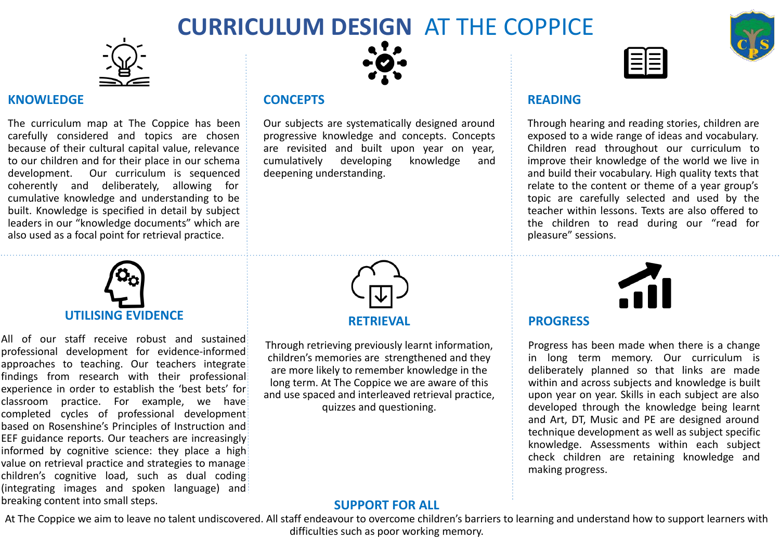## **CURRICULUM DESIGN** AT THE COPPICE



#### **KNOWLEDGE**

The curriculum map at The Coppice has been carefully considered and topics are chosen because of their cultural capital value, relevance to our children and for their place in our schema development. Our curriculum is sequenced coherently and deliberately, allowing for cumulative knowledge and understanding to be built. Knowledge is specified in detail by subject leaders in our "knowledge documents" which are also used as a focal point for retrieval practice.



#### **CONCEPTS**

Our subjects are systematically designed around progressive knowledge and concepts. Concepts are revisited and built upon year on year, cumulatively developing knowledge and deepening understanding.



#### **READING**

Through hearing and reading stories, children are exposed to a wide range of ideas and vocabulary. Children read throughout our curriculum to improve their knowledge of the world we live in and build their vocabulary. High quality texts that relate to the content or theme of a year group's topic are carefully selected and used by the teacher within lessons. Texts are also offered to the children to read during our "read for pleasure" sessions.

# **UTILISING EVIDENCE**

All of our staff receive robust and sustained professional development for evidence-informed approaches to teaching. Our teachers integrate findings from research with their professional experience in order to establish the 'best bets' for classroom practice. For example, we have completed cycles of professional development based on Rosenshine's Principles of Instruction and EEF guidance reports. Our teachers are increasingly informed by cognitive science: they place a high value on retrieval practice and strategies to manage children's cognitive load, such as dual coding (integrating images and spoken language) and breaking content into small steps.



#### **RETRIEVAL**

Through retrieving previously learnt information, children's memories are strengthened and they are more likely to remember knowledge in the long term. At The Coppice we are aware of this and use spaced and interleaved retrieval practice, quizzes and questioning.

#### **PROGRESS**

Progress has been made when there is a change in long term memory. Our curriculum is deliberately planned so that links are made within and across subjects and knowledge is built upon year on year. Skills in each subject are also developed through the knowledge being learnt and Art, DT, Music and PE are designed around technique development as well as subject specific knowledge. Assessments within each subject check children are retaining knowledge and making progress.

#### **SUPPORT FOR ALL**

At The Coppice we aim to leave no talent undiscovered. All staff endeavour to overcome children's barriers to learning and understand how to support learners with difficulties such as poor working memory.